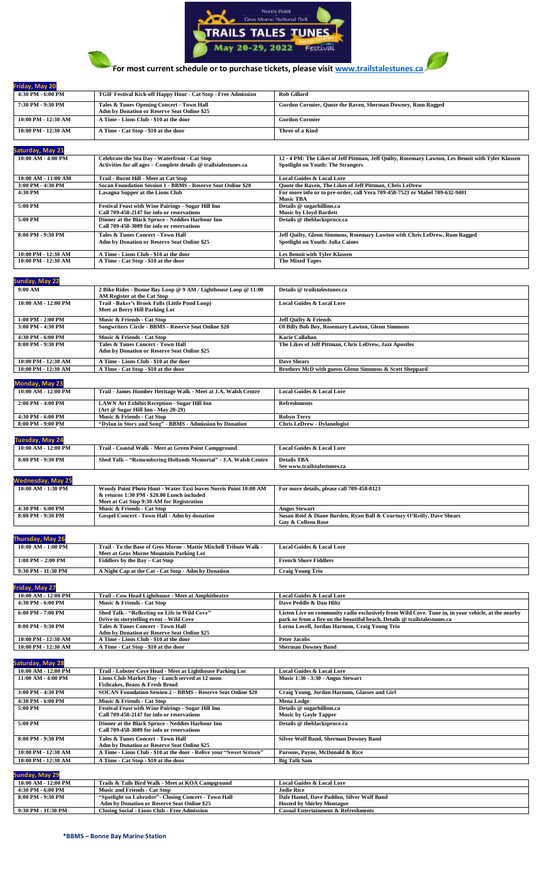



**Friday, May 20** 

# **For most current schedule or to purchase tickets, please visi[t www.trailstalestunes.ca](http://www.trailstalestunes.ca/)**

| 4:30 PM - 6:00 PM   | TGIF Festival Kick-off Happy Hour - Cat Stop - Free Admission                                                     | <b>Rob Gillard</b>                                                                                                                            |
|---------------------|-------------------------------------------------------------------------------------------------------------------|-----------------------------------------------------------------------------------------------------------------------------------------------|
| 7:30 PM - 9:30 PM   | Tales & Tunes Opening Concert - Town Hall<br>Adm by Donation or Reserve Seat Online \$25                          | Gordon Cormier, Quote the Raven, Sherman Downey, Rum Ragged                                                                                   |
| 10:00 PM - 12:30 AM | A Time - Lions Club - \$10 at the door                                                                            | <b>Gordon Cormier</b>                                                                                                                         |
| 10:00 PM - 12:30 AM | A Time - Cat Stop - \$10 at the door                                                                              | Three of a Kind                                                                                                                               |
| Saturday, May 21    |                                                                                                                   |                                                                                                                                               |
| 10:00 AM - 4:00 PM  | Celebrate the Sea Day - Waterfront - Cat Stop<br>Activities for all ages - Complete details @ trailstalestunes.ca | 12 - 4 PM: The Likes of Jeff Pittman, Jeff Quilty, Rosemary Lawton, Les Benoit with Tyler Klassen<br><b>Spotlight on Youth: The Strangers</b> |
| 10:00 AM - 11:00 AM | Trail - Burnt Hill - Meet at Cat Stop                                                                             | <b>Local Guides &amp; Local Lore</b>                                                                                                          |
| 3:00 PM - 4:30 PM   | Socan Foundation Session 1 - BBMS - Reserve Seat Online \$20                                                      | Quote the Raven, The Likes of Jeff Pittman, Chris LeDrew                                                                                      |
| 4:30 PM             | Lasagna Supper at the Lions Club                                                                                  | For more info or to pre-order, call Vera 709-458-7523 or Mabel 709-632-9401<br><b>Music TBA</b>                                               |
| 5:00 PM             | <b>Festival Feast with Wine Pairings - Sugar Hill Inn</b><br>Call 709-458-2147 for info or reservations           | Details @ sugarhillinn.ca<br><b>Music by Lloyd Bartlett</b>                                                                                   |
| 5:00 PM             | Dinner at the Black Spruce - Neddies Harbour Inn<br>Call 709-458-3089 for info or reservations                    | Details @ theblackspruce.ca                                                                                                                   |
| 8:00 PM - 9:30 PM   | <b>Tales &amp; Tunes Concert - Town Hall</b><br>Adm by Donation or Reserve Seat Online \$25                       | Jeff Quilty, Glenn Simmons, Rosemary Lawton with Chris LeDrew, Rum Ragged<br><b>Spotlight on Youth: Julia Caines</b>                          |
| 10:00 PM - 12:30 AM | A Time - Lions Club - \$10 at the door                                                                            | <b>Les Benoit with Tyler Klassen</b>                                                                                                          |
| 10:00 PM - 12:30 AM | A Time - Cat Stop - \$10 at the door                                                                              | <b>The Mixed Tapes</b>                                                                                                                        |

| Sunday, May 22         |                                                                |                                                         |
|------------------------|----------------------------------------------------------------|---------------------------------------------------------|
| 9:00 AM                | 2 Bike Rides - Bonne Bay Loop @ 9 AM / Lighthouse Loop @ 11:00 | Details @ trailstalestunes.ca                           |
|                        | AM Register at the Cat Stop                                    |                                                         |
| $10:00$ AM $-12:00$ PM | Trail - Baker's Brook Falls (Little Pond Loop)                 | <b>Local Guides &amp; Local Lore</b>                    |
|                        | Meet at Berry Hill Parking Lot                                 |                                                         |
| $1:00$ PM $- 2:00$ PM  | Music & Friends - Cat Stop                                     | <b>Jeff Quilty &amp; Friends</b>                        |
| $3:00$ PM $-4:30$ PM   | Songwriters Circle - BBMS - Reserve Seat Online \$20           | Ol Billy Bob Boy, Rosemary Lawton, Glenn Simmons        |
| $4:30$ PM $-6:00$ PM   | Music & Friends - Cat Stop                                     | Kacie Callahan                                          |
| 8:00 PM - 9:30 PM      | <b>Tales &amp; Tunes Concert - Town Hall</b>                   | The Likes of Jeff Pittman, Chris LeDrew, Jazz Apostles  |
|                        | Adm by Donation or Reserve Seat Online \$25                    |                                                         |
| $10:00$ PM $-12:30$ AM | A Time - Lions Club - \$10 at the door                         | Dave Shears                                             |
| 10:00 PM - 12:30 AM    | A Time - Cat Stop - \$10 at the door                           | Brothers McD with guests Glenn Simmons & Scott Sheppard |
|                        |                                                                |                                                         |

| <b>Monday, May 23</b>  |                                                                                     |                                      |
|------------------------|-------------------------------------------------------------------------------------|--------------------------------------|
| $10:00$ AM $-12:00$ PM | Trail - James Humber Heritage Walk - Meet at J.A. Walsh Centre                      | <b>Local Guides &amp; Local Lore</b> |
| 2:00 PM - 4:00 PM      | LAWN Art Exhibit Reception - Sugar Hill Inn<br>$(Art @ Sugar Hill Inn - Mav 20-29)$ | <b>Refreshments</b>                  |
| 4:30 PM - 6:00 PM      | Music & Friends - Cat Stop                                                          | <b>Robyn Terry</b>                   |
| 8:00 PM - 9:00 PM      | "Dylan in Story and Song" - BBMS - Admission by Donation                            | <b>Chris LeDrew - Dylanologist</b>   |

| <b>Tuesday, May 24</b>   |                                                                  |                                            |  |
|--------------------------|------------------------------------------------------------------|--------------------------------------------|--|
| 10:00 AM - 12:00 PM      | Trail - Coastal Walk - Meet at Green Point Campground            | <b>Local Guides &amp; Local Lore</b>       |  |
| 8:00 PM - 9:30 PM        | Shed Talk - "Remembering Hollands Memorial" - J.A. Walsh Centre  | <b>Details TBA</b>                         |  |
|                          |                                                                  | See www.trailstalestunes.ca                |  |
| <b>Wednesday, May 25</b> |                                                                  |                                            |  |
| $10:00$ AM $-1:30$ PM    | Woody Point Photo Hunt - Water Taxi leaves Norris Point 10:00 AM | For more details, please call 709-458-8123 |  |
|                          | & returns 1:30 PM - \$20.00 Lunch included                       |                                            |  |
|                          | Meet at Cat Stop 9:30 AM for Registration                        |                                            |  |

|                         | nicer at Cat BWD 2.90 Am for itemation                             |                                                                       |
|-------------------------|--------------------------------------------------------------------|-----------------------------------------------------------------------|
| 4:30 PM - 6:00 PM       | Music & Friends - Cat Stop                                         | <b>Angus Stewart</b>                                                  |
| 8:00 PM - 9:30 PM       | Gospel Concert - Town Hall - Adm by donation                       | Susan Reid & Diane Burden, Ryan Ball & Courtney O'Reilly, Dave Shears |
|                         |                                                                    | <b>Guy &amp; Colleen Rose</b>                                         |
|                         |                                                                    |                                                                       |
| <b>Thursday, May 26</b> |                                                                    |                                                                       |
| 10:00 AM - 1:00 PM      | Trail - To the Base of Gros Morne - Mattie Mitchell Tribute Walk - | <b>Local Guides &amp; Local Lore</b>                                  |

|                                | Meet at Gros Morne Mountain Parking Lot             |                              |
|--------------------------------|-----------------------------------------------------|------------------------------|
| 2:00 PM<br>$1:00 \text{ PM} -$ | Fiddlers by the Bay $-$ 0<br><b>Cat Stop</b>        | <b>French Shore Fiddlers</b> |
| 1:30 PM<br>9:30 PM             | Night Cap at the Cat - Cat Stop - Adm by Donation . | <b>Craig Young Trio</b>      |

**Friday, May 27**

| $10:00$ AM - $12:00$ PM             | Trail - Cow Head Lighthouse - Meet at Amphitheatre | <b>Local Guides &amp; Local Lore</b>                                                               |
|-------------------------------------|----------------------------------------------------|----------------------------------------------------------------------------------------------------|
| 4:30 PM - 6:00 PM                   | Music & Friends - Cat Stop                         | Dave Peddle & Dan Hiltz                                                                            |
| $6:00 \text{ PM} - 7:00 \text{ PM}$ | Shed Talk - "Reflecting on Life in Wild Cove"      | Listen Live on community radio exclusively from Wild Cove. Tune in, in your vehicle, at the nearby |
|                                     | Drive-in storytelling event - Wild Cove            | park or from a fire on the beautiful beach. Details @ trailstalestunes.ca                          |
| 8:00 PM - 9:30 PM                   | Tales & Tunes Concert - Town Hall                  | Lorna Lovell, Jordan Harnum, Craig Young Trio                                                      |
|                                     | <b>Adm by Donation or Reserve Seat Online \$25</b> |                                                                                                    |
| 10:00 PM - 12:30 AM                 | A Time - Lions Club - \$10 at the door             | Peter Jacobs                                                                                       |
| 10:00 PM - 12:30 AM                 | A Time - Cat Stop - \$10 at the door               | <b>Sherman Downey Band</b>                                                                         |

| <b>Saturday, May 28</b> |                                                                      |                                              |
|-------------------------|----------------------------------------------------------------------|----------------------------------------------|
| 10:00 AM - 12:00 PM     | Trail - Lobster Cove Head - Meet at Lighthouse Parking Lot           | <b>Local Guides &amp; Local Lore</b>         |
| 11:00 AM - 4:00 PM      | Lions Club Market Day - Lunch served at 12 noon                      | Music 1:30 - 3:30 - Angus Stewart            |
|                         | Fishcakes, Beans & Fresh Bread                                       |                                              |
| 3:00 PM - 4:30 PM       | <b>SOCAN Foundation Session 2 - BBMS - Reserve Seat Online \$20</b>  | Craig Young, Jordan Harnum, Glasses and Girl |
| 4:30 PM - 6:00 PM       | Music & Friends - Cat Stop                                           | <b>Mena Lodge</b>                            |
| 5:00 PM                 | <b>Festival Feast with Wine Pairings - Sugar Hill Inn</b>            | Details @ sugarhillinn.ca                    |
|                         | Call 709-458-2147 for info or reservations                           | <b>Music by Gayle Tapper</b>                 |
| 5:00 PM                 | Dinner at the Black Spruce - Neddies Harbour Inn                     | Details @ theblackspruce.ca                  |
|                         | Call 709-458-3089 for info or reservations                           |                                              |
| 8:00 PM - 9:30 PM       | <b>Tales &amp; Tunes Concert - Town Hall</b>                         | <b>Silver Wolf Band, Sherman Downey Band</b> |
|                         | Adm by Donation or Reserve Seat Online \$25                          |                                              |
| 10:00 PM - 12:30 AM     | A Time - Lions Club - \$10 at the door - Relive your "Sweet Sixteen" | Parsons, Payne, McDonald & Rice              |
| 10:00 PM - 12:30 AM     | A Time - Cat Stop - \$10 at the door                                 | <b>Big Talk Sam</b>                          |
|                         |                                                                      |                                              |
| Sunday, May 29          |                                                                      |                                              |
| 10:00 AM - 12:00 PM     | Trails & Tails Bird Walk - Meet at KOA Campground                    | <b>Local Guides &amp; Local Lore</b>         |
| 4:30 PM - 6:00 PM       | <b>Music and Friends - Cat Stop</b>                                  | <b>Jodie Rice</b>                            |

4:30 PM - 6:00 PM Music and Friends - Cat Stop<br>
8:00 PM - 9:30 PM - Spotlight on Labradon or Reserve Seat Online \$25<br>
9:30 PM - 11:30 PM - Adm by Donation or Reserve Seat Online \$25<br>
9:30 PM - 11:30 PM - Closing Social - L **Dale Hamel, Dave Paddon, Silver Wolf Band Hosted by Shirley Montague**